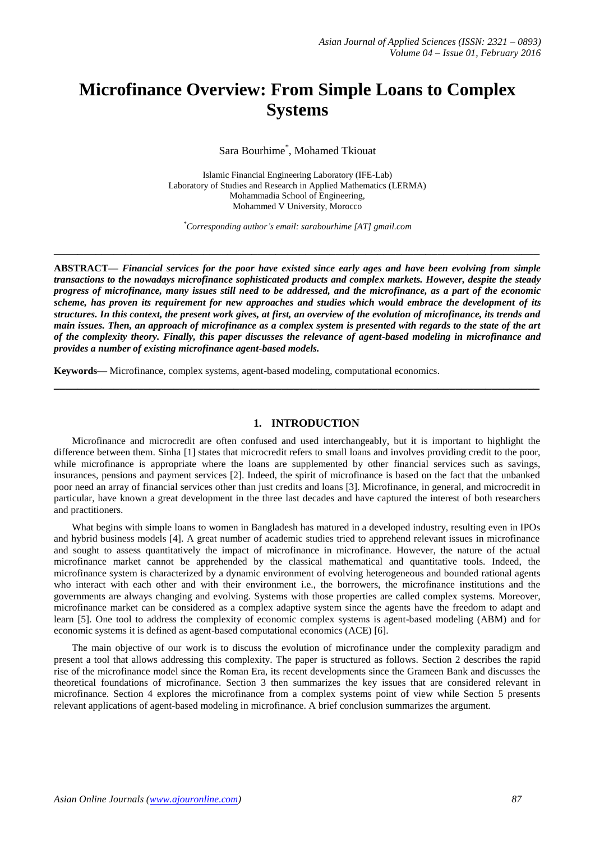# **Microfinance Overview: From Simple Loans to Complex Systems**

Sara Bourhime\* , Mohamed Tkiouat

Islamic Financial Engineering Laboratory (IFE-Lab) Laboratory of Studies and Research in Applied Mathematics (LERMA) Mohammadia School of Engineering, Mohammed V University, Morocco

*\*Corresponding author's email: sarabourhime [AT] gmail.com*

**\_\_\_\_\_\_\_\_\_\_\_\_\_\_\_\_\_\_\_\_\_\_\_\_\_\_\_\_\_\_\_\_\_\_\_\_\_\_\_\_\_\_\_\_\_\_\_\_\_\_\_\_\_\_\_\_\_\_\_\_\_\_\_\_\_\_\_\_\_\_\_\_\_\_\_\_\_\_\_\_\_**

**ABSTRACT—** *Financial services for the poor have existed since early ages and have been evolving from simple transactions to the nowadays microfinance sophisticated products and complex markets. However, despite the steady progress of microfinance, many issues still need to be addressed, and the microfinance, as a part of the economic scheme, has proven its requirement for new approaches and studies which would embrace the development of its structures. In this context, the present work gives, at first, an overview of the evolution of microfinance, its trends and main issues. Then, an approach of microfinance as a complex system is presented with regards to the state of the art of the complexity theory. Finally, this paper discusses the relevance of agent-based modeling in microfinance and provides a number of existing microfinance agent-based models.*

**\_\_\_\_\_\_\_\_\_\_\_\_\_\_\_\_\_\_\_\_\_\_\_\_\_\_\_\_\_\_\_\_\_\_\_\_\_\_\_\_\_\_\_\_\_\_\_\_\_\_\_\_\_\_\_\_\_\_\_\_\_\_\_\_\_\_\_\_\_\_\_\_\_\_\_\_\_\_\_\_\_**

**Keywords—** Microfinance, complex systems, agent-based modeling, computational economics.

## **1. INTRODUCTION**

Microfinance and microcredit are often confused and used interchangeably, but it is important to highlight the difference between them. Sinha [1] states that microcredit refers to small loans and involves providing credit to the poor, while microfinance is appropriate where the loans are supplemented by other financial services such as savings, insurances, pensions and payment services [2]. Indeed, the spirit of microfinance is based on the fact that the unbanked poor need an array of financial services other than just credits and loans [3]. Microfinance, in general, and microcredit in particular, have known a great development in the three last decades and have captured the interest of both researchers and practitioners.

What begins with simple loans to women in Bangladesh has matured in a developed industry, resulting even in IPOs and hybrid business models [4]. A great number of academic studies tried to apprehend relevant issues in microfinance and sought to assess quantitatively the impact of microfinance in microfinance. However, the nature of the actual microfinance market cannot be apprehended by the classical mathematical and quantitative tools. Indeed, the microfinance system is characterized by a dynamic environment of evolving heterogeneous and bounded rational agents who interact with each other and with their environment i.e., the borrowers, the microfinance institutions and the governments are always changing and evolving. Systems with those properties are called complex systems. Moreover, microfinance market can be considered as a complex adaptive system since the agents have the freedom to adapt and learn [5]. One tool to address the complexity of economic complex systems is agent-based modeling (ABM) and for economic systems it is defined as agent-based computational economics (ACE) [6].

The main objective of our work is to discuss the evolution of microfinance under the complexity paradigm and present a tool that allows addressing this complexity. The paper is structured as follows. Section 2 describes the rapid rise of the microfinance model since the Roman Era, its recent developments since the Grameen Bank and discusses the theoretical foundations of microfinance. Section 3 then summarizes the key issues that are considered relevant in microfinance. Section 4 explores the microfinance from a complex systems point of view while Section 5 presents relevant applications of agent-based modeling in microfinance. A brief conclusion summarizes the argument.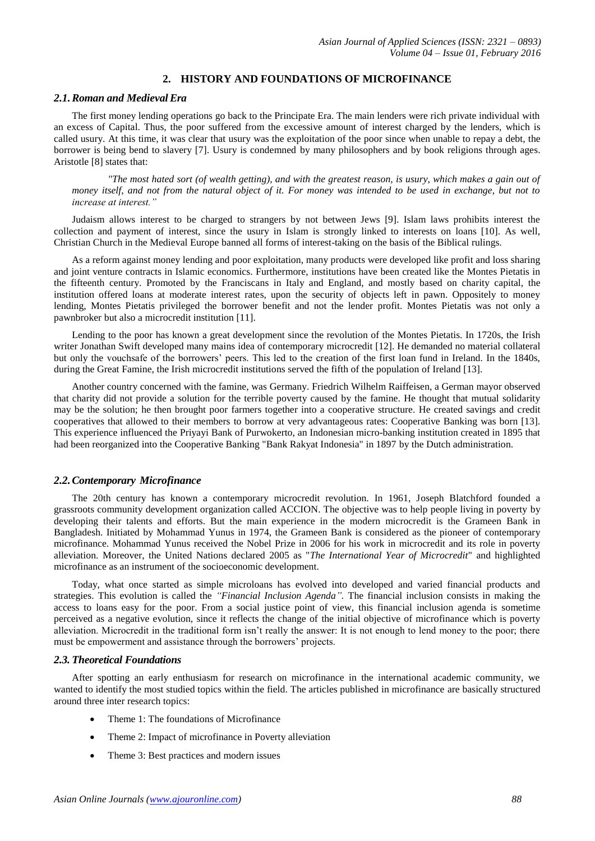# **2. HISTORY AND FOUNDATIONS OF MICROFINANCE**

## *2.1.Roman and Medieval Era*

The first money lending operations go back to the Principate Era. The main lenders were rich private individual with an excess of Capital. Thus, the poor suffered from the excessive amount of interest charged by the lenders, which is called usury. At this time, it was clear that usury was the exploitation of the poor since when unable to repay a debt, the borrower is being bend to slavery [7]. Usury is condemned by many philosophers and by book religions through ages. Aristotle [8] states that:

*"The most hated sort (of wealth getting), and with the greatest reason, is usury, which makes a gain out of money itself, and not from the natural object of it. For money was intended to be used in exchange, but not to increase at interest."*

Judaism allows interest to be charged to strangers by not between Jews [9]. Islam laws prohibits interest the collection and payment of interest, since the usury in Islam is strongly linked to interests on loans [10]. As well, Christian Church in the Medieval Europe banned all forms of interest-taking on the basis of the Biblical rulings.

As a reform against money lending and poor exploitation, many products were developed like profit and loss sharing and joint venture contracts in Islamic economics. Furthermore, institutions have been created like the Montes Pietatis in the fifteenth century. Promoted by the Franciscans in Italy and England, and mostly based on charity capital, the institution offered loans at moderate interest rates, upon the security of objects left in pawn. Oppositely to money lending, Montes Pietatis privileged the borrower benefit and not the lender profit. Montes Pietatis was not only a pawnbroker but also a microcredit institution [11].

Lending to the poor has known a great development since the revolution of the Montes Pietatis. In 1720s, the Irish writer Jonathan Swift developed many mains idea of contemporary microcredit [12]. He demanded no material collateral but only the vouchsafe of the borrowers' peers. This led to the creation of the first loan fund in Ireland. In the 1840s, during the Great Famine, the Irish microcredit institutions served the fifth of the population of Ireland [13].

Another country concerned with the famine, was Germany. Friedrich Wilhelm Raiffeisen, a German mayor observed that charity did not provide a solution for the terrible poverty caused by the famine. He thought that mutual solidarity may be the solution; he then brought poor farmers together into a cooperative structure. He created savings and credit cooperatives that allowed to their members to borrow at very advantageous rates: Cooperative Banking was born [13]. This experience influenced the Priyayi Bank of Purwokerto, an Indonesian micro-banking institution created in 1895 that had been reorganized into the Cooperative Banking "Bank Rakyat Indonesia" in 1897 by the Dutch administration.

## *2.2.Contemporary Microfinance*

The 20th century has known a contemporary microcredit revolution. In 1961, Joseph Blatchford founded a grassroots community development organization called ACCION. The objective was to help people living in poverty by developing their talents and efforts. But the main experience in the modern microcredit is the Grameen Bank in Bangladesh. Initiated by Mohammad Yunus in 1974, the Grameen Bank is considered as the pioneer of contemporary microfinance. Mohammad Yunus received the Nobel Prize in 2006 for his work in microcredit and its role in poverty alleviation. Moreover, the United Nations declared 2005 as "*The International Year of Microcredit*" and highlighted microfinance as an instrument of the socioeconomic development.

Today, what once started as simple microloans has evolved into developed and varied financial products and strategies. This evolution is called the *"Financial Inclusion Agenda".* The financial inclusion consists in making the access to loans easy for the poor. From a social justice point of view, this financial inclusion agenda is sometime perceived as a negative evolution, since it reflects the change of the initial objective of microfinance which is poverty alleviation. Microcredit in the traditional form isn't really the answer: It is not enough to lend money to the poor; there must be empowerment and assistance through the borrowers' projects.

## *2.3. Theoretical Foundations*

After spotting an early enthusiasm for research on microfinance in the international academic community, we wanted to identify the most studied topics within the field. The articles published in microfinance are basically structured around three inter research topics:

- Theme 1: The foundations of Microfinance
- Theme 2: Impact of microfinance in Poverty alleviation
- Theme 3: Best practices and modern issues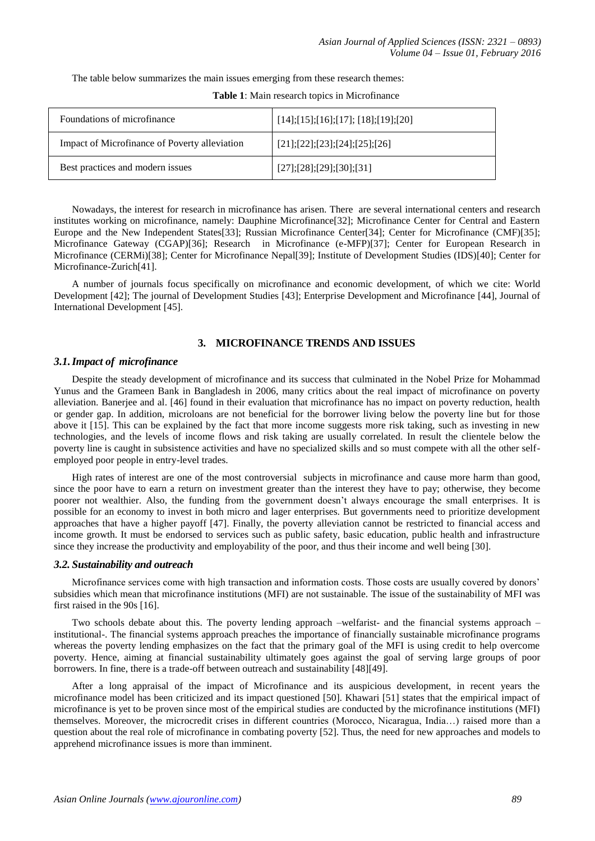The table below summarizes the main issues emerging from these research themes:

| Foundations of microfinance                   | $[14]; [15]; [16]; [17]; [18]; [19]; [20]$ |
|-----------------------------------------------|--------------------------------------------|
| Impact of Microfinance of Poverty alleviation | [21]; [22]; [23]; [24]; [25]; [26]         |
| Best practices and modern issues              | [27]; [28]; [29]; [30]; [31]               |

**Table 1**: Main research topics in Microfinance

Nowadays, the interest for research in microfinance has arisen. There are several international centers and research institutes working on microfinance, namely: Dauphine Microfinance[32]; Microfinance Center for Central and Eastern Europe and the New Independent States[33]; Russian Microfinance Center[34]; Center for Microfinance (CMF)[35]; Microfinance Gateway (CGAP)[36]; Research in Microfinance (e-MFP)[37]; Center for European Research in Microfinance (CERMi)[38]; Center for Microfinance Nepal[39]; Institute of Development Studies (IDS)[40]; Center for Microfinance-Zurich[41].

A number of journals focus specifically on microfinance and economic development, of which we cite: World Development [42]; The journal of Development Studies [43]; Enterprise Development and Microfinance [44], Journal of International Development [45].

## **3. MICROFINANCE TRENDS AND ISSUES**

## *3.1.Impact of microfinance*

Despite the steady development of microfinance and its success that culminated in the Nobel Prize for Mohammad Yunus and the Grameen Bank in Bangladesh in 2006, many critics about the real impact of microfinance on poverty alleviation. Banerjee and al. [46] found in their evaluation that microfinance has no impact on poverty reduction, health or gender gap. In addition, microloans are not beneficial for the borrower living below the poverty line but for those above it [15]. This can be explained by the fact that more income suggests more risk taking, such as investing in new technologies, and the levels of income flows and risk taking are usually correlated. In result the clientele below the poverty line is caught in subsistence activities and have no specialized skills and so must compete with all the other selfemployed poor people in entry-level trades.

High rates of interest are one of the most controversial subjects in microfinance and cause more harm than good, since the poor have to earn a return on investment greater than the interest they have to pay; otherwise, they become poorer not wealthier. Also, the funding from the government doesn't always encourage the small enterprises. It is possible for an economy to invest in both micro and lager enterprises. But governments need to prioritize development approaches that have a higher payoff [47]. Finally, the poverty alleviation cannot be restricted to financial access and income growth. It must be endorsed to services such as public safety, basic education, public health and infrastructure since they increase the productivity and employability of the poor, and thus their income and well being [30].

## *3.2. Sustainability and outreach*

Microfinance services come with high transaction and information costs. Those costs are usually covered by donors' subsidies which mean that microfinance institutions (MFI) are not sustainable. The issue of the sustainability of MFI was first raised in the 90s [16].

Two schools debate about this. The poverty lending approach –welfarist- and the financial systems approach – institutional-. The financial systems approach preaches the importance of financially sustainable microfinance programs whereas the poverty lending emphasizes on the fact that the primary goal of the MFI is using credit to help overcome poverty. Hence, aiming at financial sustainability ultimately goes against the goal of serving large groups of poor borrowers. In fine, there is a trade-off between outreach and sustainability [48][49].

After a long appraisal of the impact of Microfinance and its auspicious development, in recent years the microfinance model has been criticized and its impact questioned [50]. Khawari [51] states that the empirical impact of microfinance is yet to be proven since most of the empirical studies are conducted by the microfinance institutions (MFI) themselves. Moreover, the microcredit crises in different countries (Morocco, Nicaragua, India…) raised more than a question about the real role of microfinance in combating poverty [52]. Thus, the need for new approaches and models to apprehend microfinance issues is more than imminent.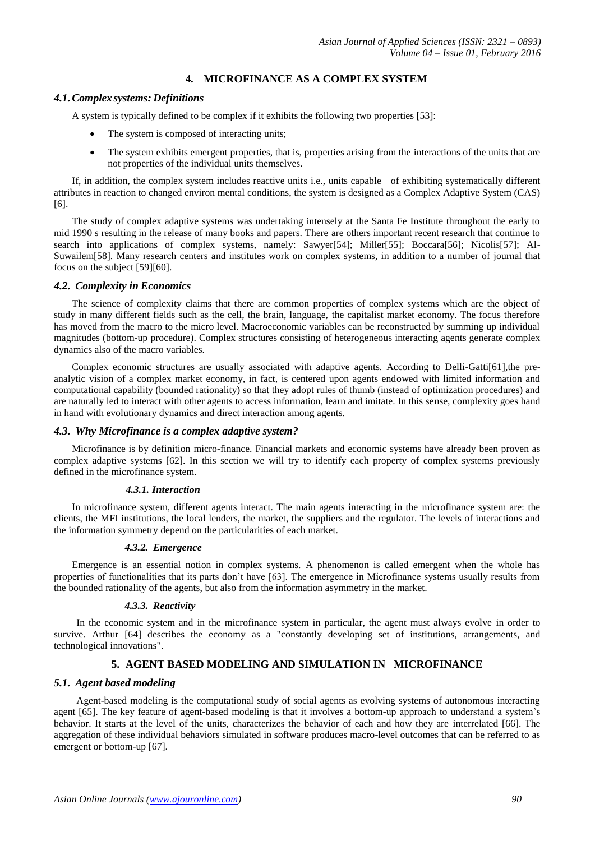# **4. MICROFINANCE AS A COMPLEX SYSTEM**

## *4.1.Complexsystems: Definitions*

A system is typically defined to be complex if it exhibits the following two properties [53]:

- The system is composed of interacting units;
- The system exhibits emergent properties, that is, properties arising from the interactions of the units that are not properties of the individual units themselves.

If, in addition, the complex system includes reactive units i.e., units capable of exhibiting systematically different attributes in reaction to changed environ mental conditions, the system is designed as a Complex Adaptive System (CAS) [6].

The study of complex adaptive systems was undertaking intensely at the Santa Fe Institute throughout the early to mid 1990 s resulting in the release of many books and papers. There are others important recent research that continue to search into applications of complex systems, namely: Sawyer[54]; Miller[55]; Boccara[56]; Nicolis[57]; Al-Suwailem[58]. Many research centers and institutes work on complex systems, in addition to a number of journal that focus on the subject [59][60].

## *4.2. Complexity in Economics*

The science of complexity claims that there are common properties of complex systems which are the object of study in many different fields such as the cell, the brain, language, the capitalist market economy. The focus therefore has moved from the macro to the micro level. Macroeconomic variables can be reconstructed by summing up individual magnitudes (bottom-up procedure). Complex structures consisting of heterogeneous interacting agents generate complex dynamics also of the macro variables.

Complex economic structures are usually associated with adaptive agents. According to Delli-Gatti[61],the preanalytic vision of a complex market economy, in fact, is centered upon agents endowed with limited information and computational capability (bounded rationality) so that they adopt rules of thumb (instead of optimization procedures) and are naturally led to interact with other agents to access information, learn and imitate. In this sense, complexity goes hand in hand with evolutionary dynamics and direct interaction among agents.

# *4.3. Why Microfinance is a complex adaptive system?*

Microfinance is by definition micro-finance. Financial markets and economic systems have already been proven as complex adaptive systems [62]. In this section we will try to identify each property of complex systems previously defined in the microfinance system.

## *4.3.1. Interaction*

In microfinance system, different agents interact. The main agents interacting in the microfinance system are: the clients, the MFI institutions, the local lenders, the market, the suppliers and the regulator. The levels of interactions and the information symmetry depend on the particularities of each market.

#### *4.3.2. Emergence*

Emergence is an essential notion in complex systems. A phenomenon is called emergent when the whole has properties of functionalities that its parts don't have [63]. The emergence in Microfinance systems usually results from the bounded rationality of the agents, but also from the information asymmetry in the market.

#### *4.3.3. Reactivity*

In the economic system and in the microfinance system in particular, the agent must always evolve in order to survive. Arthur [64] describes the economy as a "constantly developing set of institutions, arrangements, and technological innovations".

# **5. AGENT BASED MODELING AND SIMULATION IN MICROFINANCE**

## *5.1. Agent based modeling*

Agent-based modeling is the computational study of social agents as evolving systems of autonomous interacting agent [65]. The key feature of agent-based modeling is that it involves a bottom-up approach to understand a system's behavior. It starts at the level of the units, characterizes the behavior of each and how they are interrelated [66]. The aggregation of these individual behaviors simulated in software produces macro-level outcomes that can be referred to as emergent or bottom-up [67].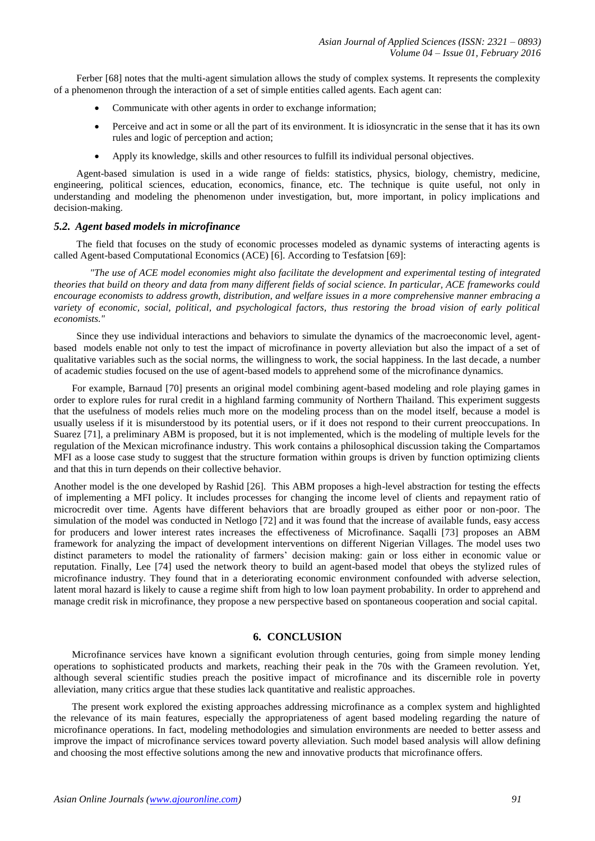Ferber [68] notes that the multi-agent simulation allows the study of complex systems. It represents the complexity of a phenomenon through the interaction of a set of simple entities called agents. Each agent can:

- Communicate with other agents in order to exchange information;
- Perceive and act in some or all the part of its environment. It is idiosyncratic in the sense that it has its own rules and logic of perception and action;
- Apply its knowledge, skills and other resources to fulfill its individual personal objectives.

Agent-based simulation is used in a wide range of fields: statistics, physics, biology, chemistry, medicine, engineering, political sciences, education, economics, finance, etc. The technique is quite useful, not only in understanding and modeling the phenomenon under investigation, but, more important, in policy implications and decision-making.

## *5.2. Agent based models in microfinance*

The field that focuses on the study of economic processes modeled as dynamic systems of interacting agents is called Agent-based Computational Economics (ACE) [6]. According to Tesfatsion [69]:

*"The use of ACE model economies might also facilitate the development and experimental testing of integrated theories that build on theory and data from many different fields of social science. In particular, ACE frameworks could encourage economists to address growth, distribution, and welfare issues in a more comprehensive manner embracing a variety of economic, social, political, and psychological factors, thus restoring the broad vision of early political economists."*

Since they use individual interactions and behaviors to simulate the dynamics of the macroeconomic level, agentbased models enable not only to test the impact of microfinance in poverty alleviation but also the impact of a set of qualitative variables such as the social norms, the willingness to work, the social happiness. In the last decade, a number of academic studies focused on the use of agent-based models to apprehend some of the microfinance dynamics.

For example, Barnaud [70] presents an original model combining agent-based modeling and role playing games in order to explore rules for rural credit in a highland farming community of Northern Thailand. This experiment suggests that the usefulness of models relies much more on the modeling process than on the model itself, because a model is usually useless if it is misunderstood by its potential users, or if it does not respond to their current preoccupations. In Suarez [71], a preliminary ABM is proposed, but it is not implemented, which is the modeling of multiple levels for the regulation of the Mexican microfinance industry. This work contains a philosophical discussion taking the Compartamos MFI as a loose case study to suggest that the structure formation within groups is driven by function optimizing clients and that this in turn depends on their collective behavior.

Another model is the one developed by Rashid [26]. This ABM proposes a high-level abstraction for testing the effects of implementing a MFI policy. It includes processes for changing the income level of clients and repayment ratio of microcredit over time. Agents have different behaviors that are broadly grouped as either poor or non-poor. The simulation of the model was conducted in Netlogo [72] and it was found that the increase of available funds, easy access for producers and lower interest rates increases the effectiveness of Microfinance. Saqalli [73] proposes an ABM framework for analyzing the impact of development interventions on different Nigerian Villages. The model uses two distinct parameters to model the rationality of farmers' decision making: gain or loss either in economic value or reputation. Finally, Lee [74] used the network theory to build an agent-based model that obeys the stylized rules of microfinance industry. They found that in a deteriorating economic environment confounded with adverse selection, latent moral hazard is likely to cause a regime shift from high to low loan payment probability. In order to apprehend and manage credit risk in microfinance, they propose a new perspective based on spontaneous cooperation and social capital.

#### **6. CONCLUSION**

Microfinance services have known a significant evolution through centuries, going from simple money lending operations to sophisticated products and markets, reaching their peak in the 70s with the Grameen revolution. Yet, although several scientific studies preach the positive impact of microfinance and its discernible role in poverty alleviation, many critics argue that these studies lack quantitative and realistic approaches.

The present work explored the existing approaches addressing microfinance as a complex system and highlighted the relevance of its main features, especially the appropriateness of agent based modeling regarding the nature of microfinance operations. In fact, modeling methodologies and simulation environments are needed to better assess and improve the impact of microfinance services toward poverty alleviation. Such model based analysis will allow defining and choosing the most effective solutions among the new and innovative products that microfinance offers.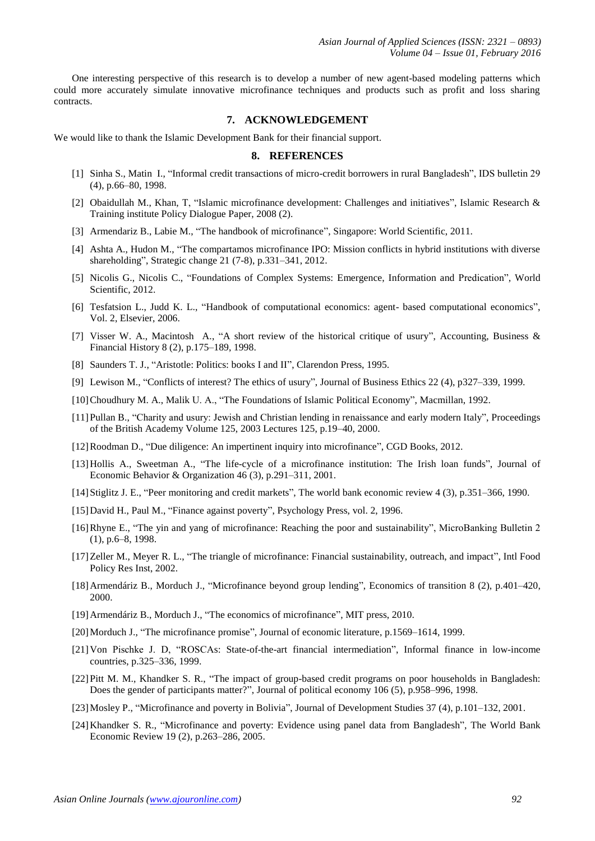One interesting perspective of this research is to develop a number of new agent-based modeling patterns which could more accurately simulate innovative microfinance techniques and products such as profit and loss sharing contracts.

## **7. ACKNOWLEDGEMENT**

We would like to thank the Islamic Development Bank for their financial support.

#### **8. REFERENCES**

- [1] Sinha S., Matin I., "Informal credit transactions of micro-credit borrowers in rural Bangladesh", IDS bulletin 29 (4), p.66–80, 1998.
- [2] Obaidullah M., Khan, T, "Islamic microfinance development: Challenges and initiatives", Islamic Research & Training institute Policy Dialogue Paper, 2008 (2).
- [3] Armendariz B., Labie M., "The handbook of microfinance", Singapore: World Scientific, 2011.
- [4] Ashta A., Hudon M., "The compartamos microfinance IPO: Mission conflicts in hybrid institutions with diverse shareholding", Strategic change 21 (7-8), p.331–341, 2012.
- [5] Nicolis G., Nicolis C., "Foundations of Complex Systems: Emergence, Information and Predication", World Scientific, 2012.
- [6] Tesfatsion L., Judd K. L., "Handbook of computational economics: agent- based computational economics", Vol. 2, Elsevier, 2006.
- [7] Visser W. A., Macintosh A., "A short review of the historical critique of usury", Accounting, Business & Financial History 8 (2), p.175–189, 1998.
- [8] Saunders T. J., "Aristotle: Politics: books I and II", Clarendon Press, 1995.
- [9] Lewison M., "Conflicts of interest? The ethics of usury", Journal of Business Ethics 22 (4), p327–339, 1999.
- [10]Choudhury M. A., Malik U. A., "The Foundations of Islamic Political Economy", Macmillan, 1992.
- [11]Pullan B., "Charity and usury: Jewish and Christian lending in renaissance and early modern Italy", Proceedings of the British Academy Volume 125, 2003 Lectures 125, p.19–40, 2000.
- [12]Roodman D., "Due diligence: An impertinent inquiry into microfinance", CGD Books, 2012.
- [13]Hollis A., Sweetman A., "The life-cycle of a microfinance institution: The Irish loan funds", Journal of Economic Behavior & Organization 46 (3), p.291–311, 2001.
- [14]Stiglitz J. E., "Peer monitoring and credit markets", The world bank economic review 4 (3), p.351–366, 1990.
- [15]David H., Paul M., "Finance against poverty", Psychology Press, vol. 2, 1996.
- [16]Rhyne E., "The yin and yang of microfinance: Reaching the poor and sustainability", MicroBanking Bulletin 2 (1), p.6–8, 1998.
- [17]Zeller M., Meyer R. L., "The triangle of microfinance: Financial sustainability, outreach, and impact", Intl Food Policy Res Inst, 2002.
- [18]Armendáriz B., Morduch J., "Microfinance beyond group lending", Economics of transition 8 (2), p.401–420, 2000.
- [19] Armendáriz B., Morduch J., "The economics of microfinance", MIT press, 2010.
- [20]Morduch J., "The microfinance promise", Journal of economic literature, p.1569–1614, 1999.
- [21]Von Pischke J. D, "ROSCAs: State-of-the-art financial intermediation", Informal finance in low-income countries, p.325–336, 1999.
- [22]Pitt M. M., Khandker S. R., "The impact of group-based credit programs on poor households in Bangladesh: Does the gender of participants matter?", Journal of political economy 106 (5), p.958–996, 1998.
- [23]Mosley P., "Microfinance and poverty in Bolivia", Journal of Development Studies 37 (4), p.101–132, 2001.
- [24]Khandker S. R., "Microfinance and poverty: Evidence using panel data from Bangladesh", The World Bank Economic Review 19 (2), p.263–286, 2005.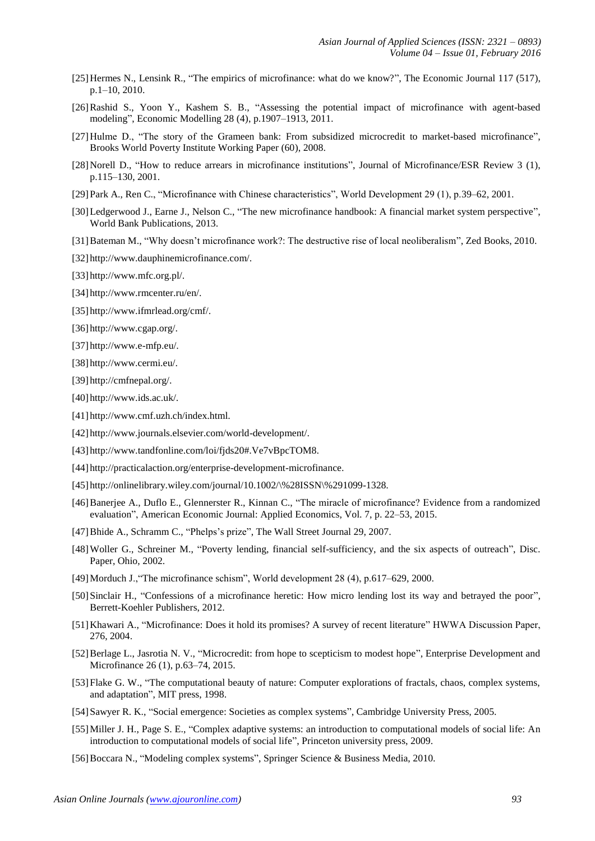- [25]Hermes N., Lensink R., "The empirics of microfinance: what do we know?", The Economic Journal 117 (517), p.1–10, 2010.
- [26]Rashid S., Yoon Y., Kashem S. B., "Assessing the potential impact of microfinance with agent-based modeling", Economic Modelling 28 (4), p.1907–1913, 2011.
- [27]Hulme D., "The story of the Grameen bank: From subsidized microcredit to market-based microfinance", Brooks World Poverty Institute Working Paper (60), 2008.
- [28]Norell D., "How to reduce arrears in microfinance institutions", Journal of Microfinance/ESR Review 3 (1), p.115–130, 2001.
- [29]Park A., Ren C., "Microfinance with Chinese characteristics", World Development 29 (1), p.39–62, 2001.
- [30]Ledgerwood J., Earne J., Nelson C., "The new microfinance handbook: A financial market system perspective", World Bank Publications, 2013.
- [31]Bateman M., "Why doesn't microfinance work?: The destructive rise of local neoliberalism", Zed Books, 2010.
- [32] [http://www.dauphinemicrofinance.com/.](http://www.dauphinemicrofinance.com/)
- [33] [http://www.mfc.org.pl/.](http://www.mfc.org.pl/)
- [34] [http://www.rmcenter.ru/en/.](http://www.rmcenter.ru/en/)
- [35] [http://www.ifmrlead.org/cmf/.](http://www.ifmrlead.org/cmf/)
- [36] [http://www.cgap.org/.](http://www.cgap.org/)
- [37] [http://www.e-mfp.eu/.](http://www.e-mfp.eu/)
- [38] [http://www.cermi.eu/.](http://www.cermi.eu/)
- [39] [http://cmfnepal.org/.](http://cmfnepal.org/)
- [40] [http://www.ids.ac.uk/.](http://www.ids.ac.uk/)
- [41] [http://www.cmf.uzh.ch/index.html.](http://www.cmf.uzh.ch/index.html)
- [42] [http://www.journals.elsevier.com/world-development/.](http://www.journals.elsevier.com/world-development/)
- [43] [http://www.tandfonline.com/loi/fjds20#.Ve7vBpcTOM8.](http://www.tandfonline.com/loi/fjds20#.Ve7vBpcTOM8)
- [44] [http://practicalaction.org/enterprise-development-microfinance.](http://practicalaction.org/enterprise-development-microfinance)
- [45] http://onlinelibrary.wiley.com/journal/10.1002/\%28ISSN\%291099-1328.
- [46]Banerjee A., Duflo E., Glennerster R., Kinnan C., "The miracle of microfinance? Evidence from a randomized evaluation", American Economic Journal: Applied Economics, Vol. 7, p. 22–53, 2015.
- [47]Bhide A., Schramm C., "Phelps's prize", The Wall Street Journal 29, 2007.
- [48]Woller G., Schreiner M., "Poverty lending, financial self-sufficiency, and the six aspects of outreach", Disc. Paper, Ohio, 2002.
- [49]Morduch J.,"The microfinance schism", World development 28 (4), p.617–629, 2000.
- [50]Sinclair H., "Confessions of a microfinance heretic: How micro lending lost its way and betrayed the poor", Berrett-Koehler Publishers, 2012.
- [51]Khawari A., "Microfinance: Does it hold its promises? A survey of recent literature" HWWA Discussion Paper, 276, 2004.
- [52] Berlage L., Jasrotia N. V., "Microcredit: from hope to scepticism to modest hope", Enterprise Development and Microfinance 26 (1), p.63–74, 2015.
- [53] Flake G. W., "The computational beauty of nature: Computer explorations of fractals, chaos, complex systems, and adaptation", MIT press, 1998.
- [54]Sawyer R. K., "Social emergence: Societies as complex systems", Cambridge University Press, 2005.
- [55]Miller J. H., Page S. E., "Complex adaptive systems: an introduction to computational models of social life: An introduction to computational models of social life", Princeton university press, 2009.
- [56]Boccara N., "Modeling complex systems", Springer Science & Business Media, 2010.